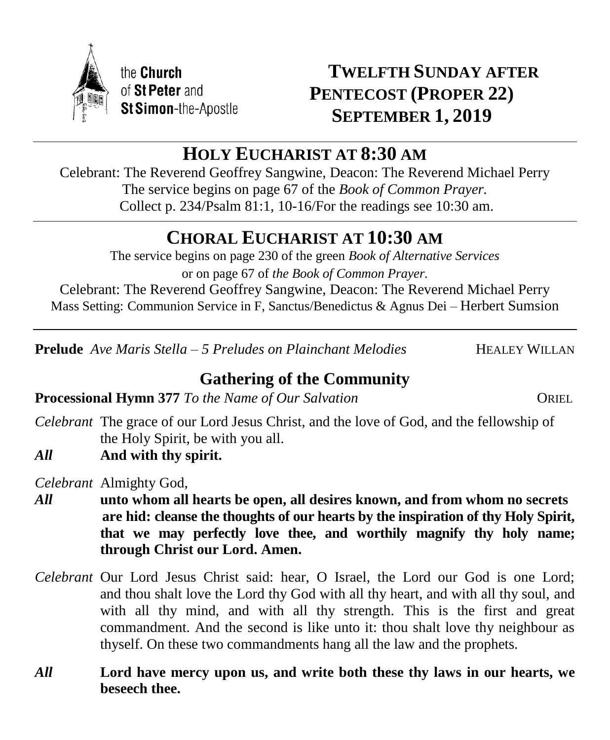

# **TWELFTH SUNDAY AFTER PENTECOST (PROPER 22) SEPTEMBER 1, 2019**

# **HOLY EUCHARIST AT 8:30 AM**

Celebrant: The Reverend Geoffrey Sangwine, Deacon: The Reverend Michael Perry The service begins on page 67 of the *Book of Common Prayer.* Collect p. 234/Psalm 81:1, 10-16/For the readings see 10:30 am.

# **CHORAL EUCHARIST AT 10:30 AM**

The service begins on page 230 of the green *Book of Alternative Services* or on page 67 of *the Book of Common Prayer.* Celebrant: The Reverend Geoffrey Sangwine, Deacon: The Reverend Michael Perry Mass Setting: Communion Service in F, Sanctus/Benedictus & Agnus Dei – Herbert Sumsion

**Prelude** *Ave Maris Stella – 5 Preludes on Plainchant Melodies* HEALEY WILLAN

# **Gathering of the Community**

**Processional Hymn** 377 *To the Name of Our Salvation* ORIEL

- *Celebrant* The grace of our Lord Jesus Christ, and the love of God, and the fellowship of the Holy Spirit, be with you all.
- *All* **And with thy spirit.**

*Celebrant* Almighty God,

- *All* **unto whom all hearts be open, all desires known, and from whom no secrets are hid: cleanse the thoughts of our hearts by the inspiration of thy Holy Spirit, that we may perfectly love thee, and worthily magnify thy holy name; through Christ our Lord. Amen.**
- *Celebrant* Our Lord Jesus Christ said: hear, O Israel, the Lord our God is one Lord; and thou shalt love the Lord thy God with all thy heart, and with all thy soul, and with all thy mind, and with all thy strength. This is the first and great commandment. And the second is like unto it: thou shalt love thy neighbour as thyself. On these two commandments hang all the law and the prophets.
- *All* **Lord have mercy upon us, and write both these thy laws in our hearts, we beseech thee.**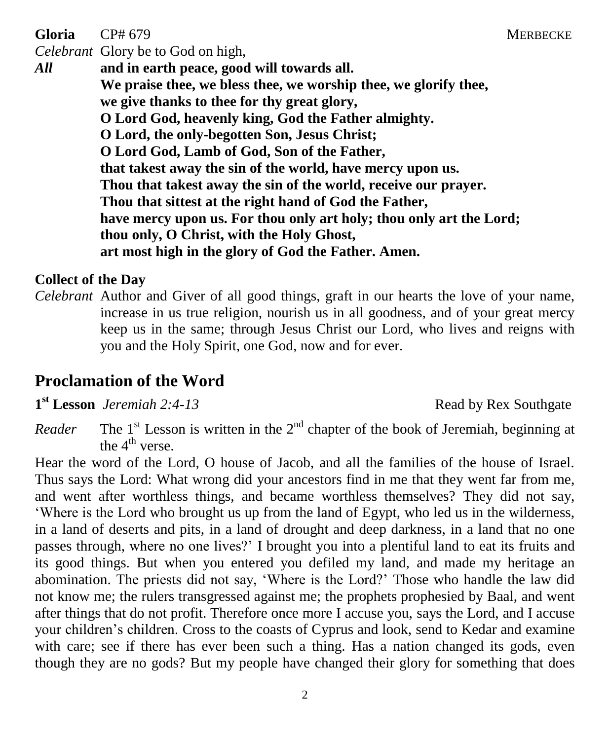**Gloria** CP# 679 MERBECKE

*Celebrant* Glory be to God on high,

*All* **and in earth peace, good will towards all. We praise thee, we bless thee, we worship thee, we glorify thee, we give thanks to thee for thy great glory, O Lord God, heavenly king, God the Father almighty. O Lord, the only-begotten Son, Jesus Christ; O Lord God, Lamb of God, Son of the Father, that takest away the sin of the world, have mercy upon us. Thou that takest away the sin of the world, receive our prayer. Thou that sittest at the right hand of God the Father, have mercy upon us. For thou only art holy; thou only art the Lord; thou only, O Christ, with the Holy Ghost, art most high in the glory of God the Father. Amen.**

### **Collect of the Day**

*Celebrant* Author and Giver of all good things, graft in our hearts the love of your name, increase in us true religion, nourish us in all goodness, and of your great mercy keep us in the same; through Jesus Christ our Lord, who lives and reigns with you and the Holy Spirit, one God, now and for ever.

# **Proclamation of the Word**

**1**<sup>st</sup> Lesson *Jeremiah* 2:4-13 Read by Rex Southgate

 $Reader$  $s$ <sup>t</sup> Lesson is written in the  $2<sup>nd</sup>$  chapter of the book of Jeremiah, beginning at the  $4^{\text{th}}$  verse.

Hear the word of the Lord, O house of Jacob, and all the families of the house of Israel. Thus says the Lord: What wrong did your ancestors find in me that they went far from me, and went after worthless things, and became worthless themselves? They did not say, 'Where is the Lord who brought us up from the land of Egypt, who led us in the wilderness, in a land of deserts and pits, in a land of drought and deep darkness, in a land that no one passes through, where no one lives?' I brought you into a plentiful land to eat its fruits and its good things. But when you entered you defiled my land, and made my heritage an abomination. The priests did not say, 'Where is the Lord?' Those who handle the law did not know me; the rulers transgressed against me; the prophets prophesied by Baal, and went after things that do not profit. Therefore once more I accuse you, says the Lord, and I accuse your children's children. Cross to the coasts of Cyprus and look, send to Kedar and examine with care; see if there has ever been such a thing. Has a nation changed its gods, even though they are no gods? But my people have changed their glory for something that does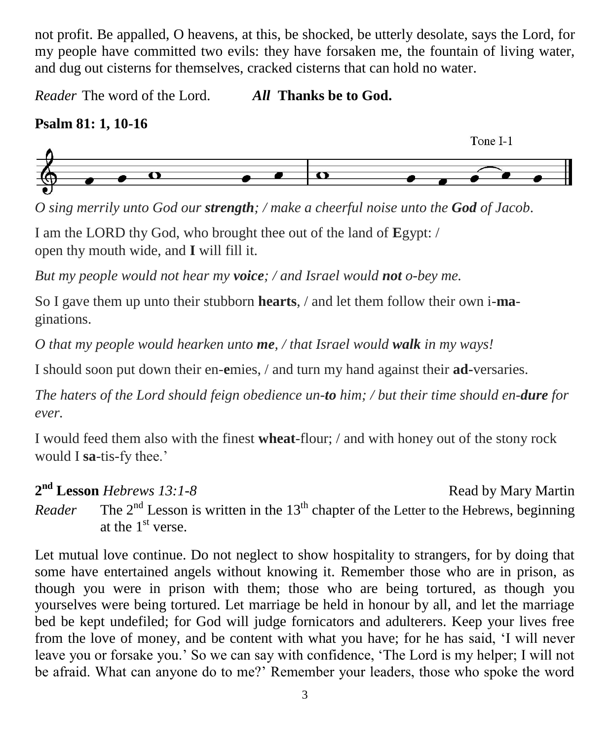not profit. Be appalled, O heavens, at this, be shocked, be utterly desolate, says the Lord, for my people have committed two evils: they have forsaken me, the fountain of living water, and dug out cisterns for themselves, cracked cisterns that can hold no water.

*Reader* The word of the Lord. *All* **Thanks be to God.**

# **Psalm 81: 1, 10-16**



*O sing merrily unto God our strength; / make a cheerful noise unto the God of Jacob*.

I am the LORD thy God, who brought thee out of the land of **E**gypt: / open thy mouth wide, and **I** will fill it.

*But my people would not hear my voice; / and Israel would not o-bey me.*

So I gave them up unto their stubborn **hearts**, / and let them follow their own i-**ma**ginations.

*O that my people would hearken unto me, / that Israel would walk in my ways!*

I should soon put down their en-**e**mies, / and turn my hand against their **ad-**versaries.

*The haters of the Lord should feign obedience un-to him; / but their time should en-dure for ever.*

I would feed them also with the finest **wheat**-flour; / and with honey out of the stony rock would I **sa**-tis-fy thee.'

**2 nd Lesson** *Hebrews 13:1-8* Read by Mary Martin

*Reader* The  $2<sup>nd</sup>$  Lesson is written in the 13<sup>th</sup> chapter of the Letter to the Hebrews, beginning at the  $1<sup>st</sup>$  verse.

Let mutual love continue. Do not neglect to show hospitality to strangers, for by doing that some have entertained angels without knowing it. Remember those who are in prison, as though you were in prison with them; those who are being tortured, as though you yourselves were being tortured. Let marriage be held in honour by all, and let the marriage bed be kept undefiled; for God will judge fornicators and adulterers. Keep your lives free from the love of money, and be content with what you have; for he has said, 'I will never leave you or forsake you.' So we can say with confidence, 'The Lord is my helper; I will not be afraid. What can anyone do to me?' Remember your leaders, those who spoke the word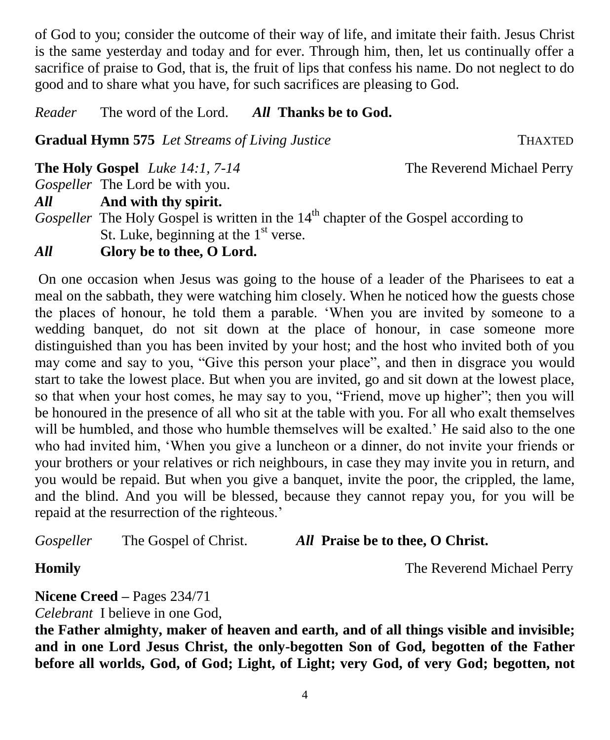of God to you; consider the outcome of their way of life, and imitate their faith. Jesus Christ is the same yesterday and today and for ever. Through him, then, let us continually offer a sacrifice of praise to God, that is, the fruit of lips that confess his name. Do not neglect to do good and to share what you have, for such sacrifices are pleasing to God.

*Reader* The word of the Lord. *All* **Thanks be to God.**

**Gradual Hymn 575** *Let Streams of Living Justice* **THAXTED** 

**The Holy Gospel** *Luke 14:1, 7-14* The Reverend Michael Perry

*Gospeller* The Lord be with you.

*All* **And with thy spirit.**

*Gospeller* The Holy Gospel is written in the 14<sup>th</sup> chapter of the Gospel according to St. Luke, beginning at the  $1<sup>st</sup>$  verse.

*All* **Glory be to thee, O Lord.**

On one occasion when Jesus was going to the house of a leader of the Pharisees to eat a meal on the sabbath, they were watching him closely. When he noticed how the guests chose the places of honour, he told them a parable. 'When you are invited by someone to a wedding banquet, do not sit down at the place of honour, in case someone more distinguished than you has been invited by your host; and the host who invited both of you may come and say to you, "Give this person your place", and then in disgrace you would start to take the lowest place. But when you are invited, go and sit down at the lowest place, so that when your host comes, he may say to you, "Friend, move up higher"; then you will be honoured in the presence of all who sit at the table with you. For all who exalt themselves will be humbled, and those who humble themselves will be exalted.' He said also to the one who had invited him, 'When you give a luncheon or a dinner, do not invite your friends or your brothers or your relatives or rich neighbours, in case they may invite you in return, and you would be repaid. But when you give a banquet, invite the poor, the crippled, the lame, and the blind. And you will be blessed, because they cannot repay you, for you will be repaid at the resurrection of the righteous.'

*Gospeller* The Gospel of Christ. *All* **Praise be to thee, O Christ.**

**Homily The Reverend Michael Perry** 

**Nicene Creed –** Pages 234/71

*Celebrant* I believe in one God,

**the Father almighty, maker of heaven and earth, and of all things visible and invisible; and in one Lord Jesus Christ, the only-begotten Son of God, begotten of the Father before all worlds, God, of God; Light, of Light; very God, of very God; begotten, not**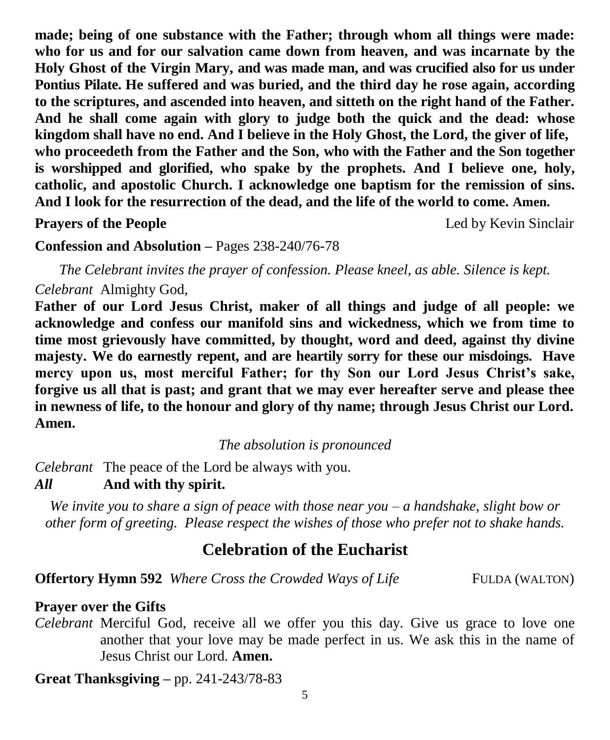**made; being of one substance with the Father; through whom all things were made: who for us and for our salvation came down from heaven, and was incarnate by the Holy Ghost of the Virgin Mary, and was made man, and was crucified also for us under Pontius Pilate. He suffered and was buried, and the third day he rose again, according to the scriptures, and ascended into heaven, and sitteth on the right hand of the Father. And he shall come again with glory to judge both the quick and the dead: whose kingdom shall have no end. And I believe in the Holy Ghost, the Lord, the giver of life, who proceedeth from the Father and the Son, who with the Father and the Son together is worshipped and glorified, who spake by the prophets. And I believe one, holy, catholic, and apostolic Church. I acknowledge one baptism for the remission of sins. And I look for the resurrection of the dead, and the life of the world to come. Amen.**

**Prayers of the People** Led by Kevin Sinclair

**Confession and Absolution –** Pages 238-240/76-78

*The Celebrant invites the prayer of confession. Please kneel, as able. Silence is kept. Celebrant* Almighty God,

**Father of our Lord Jesus Christ, maker of all things and judge of all people: we acknowledge and confess our manifold sins and wickedness, which we from time to time most grievously have committed, by thought, word and deed, against thy divine majesty. We do earnestly repent, and are heartily sorry for these our misdoings. Have mercy upon us, most merciful Father; for thy Son our Lord Jesus Christ's sake, forgive us all that is past; and grant that we may ever hereafter serve and please thee in newness of life, to the honour and glory of thy name; through Jesus Christ our Lord. Amen.**

*The absolution is pronounced*

*Celebrant* The peace of the Lord be always with you. *All* **And with thy spirit.**

*We invite you to share a sign of peace with those near you – a handshake, slight bow or other form of greeting. Please respect the wishes of those who prefer not to shake hands.*

# **Celebration of the Eucharist**

**Offertory Hymn 592** *Where Cross the Crowded Ways of Life* FULDA (WALTON)

#### **Prayer over the Gifts**

*Celebrant* Merciful God, receive all we offer you this day. Give us grace to love one another that your love may be made perfect in us. We ask this in the name of Jesus Christ our Lord. **Amen.**

**Great Thanksgiving –** pp. 241-243/78-83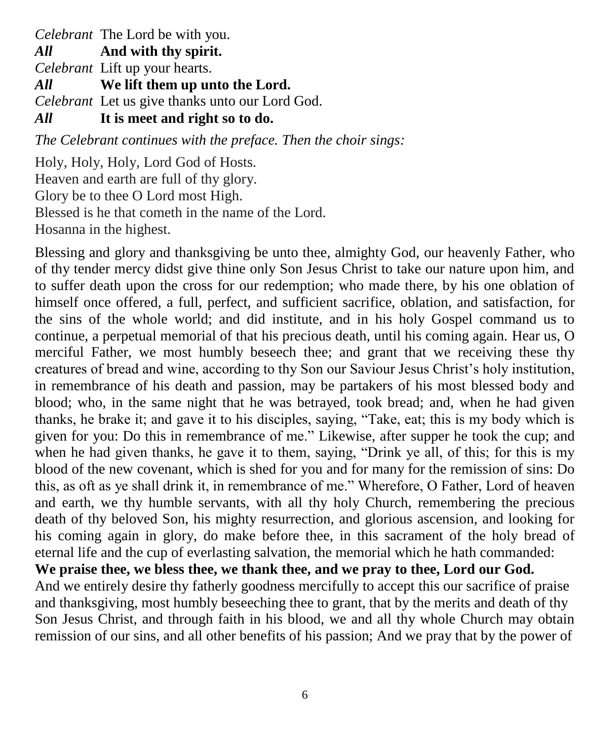*Celebrant* The Lord be with you.

*All* **And with thy spirit.** 

*Celebrant* Lift up your hearts.

*All* **We lift them up unto the Lord.** 

*Celebrant* Let us give thanks unto our Lord God.

*All* **It is meet and right so to do.** 

*The Celebrant continues with the preface. Then the choir sings:*

Holy, Holy, Holy, Lord God of Hosts. Heaven and earth are full of thy glory. Glory be to thee O Lord most High. Blessed is he that cometh in the name of the Lord. Hosanna in the highest.

Blessing and glory and thanksgiving be unto thee, almighty God, our heavenly Father, who of thy tender mercy didst give thine only Son Jesus Christ to take our nature upon him, and to suffer death upon the cross for our redemption; who made there, by his one oblation of himself once offered, a full, perfect, and sufficient sacrifice, oblation, and satisfaction, for the sins of the whole world; and did institute, and in his holy Gospel command us to continue, a perpetual memorial of that his precious death, until his coming again. Hear us, O merciful Father, we most humbly beseech thee; and grant that we receiving these thy creatures of bread and wine, according to thy Son our Saviour Jesus Christ's holy institution, in remembrance of his death and passion, may be partakers of his most blessed body and blood; who, in the same night that he was betrayed, took bread; and, when he had given thanks, he brake it; and gave it to his disciples, saying, "Take, eat; this is my body which is given for you: Do this in remembrance of me." Likewise, after supper he took the cup; and when he had given thanks, he gave it to them, saying, "Drink ye all, of this; for this is my blood of the new covenant, which is shed for you and for many for the remission of sins: Do this, as oft as ye shall drink it, in remembrance of me." Wherefore, O Father, Lord of heaven and earth, we thy humble servants, with all thy holy Church, remembering the precious death of thy beloved Son, his mighty resurrection, and glorious ascension, and looking for his coming again in glory, do make before thee, in this sacrament of the holy bread of eternal life and the cup of everlasting salvation, the memorial which he hath commanded: **We praise thee, we bless thee, we thank thee, and we pray to thee, Lord our God.** 

And we entirely desire thy fatherly goodness mercifully to accept this our sacrifice of praise and thanksgiving, most humbly beseeching thee to grant, that by the merits and death of thy Son Jesus Christ, and through faith in his blood, we and all thy whole Church may obtain remission of our sins, and all other benefits of his passion; And we pray that by the power of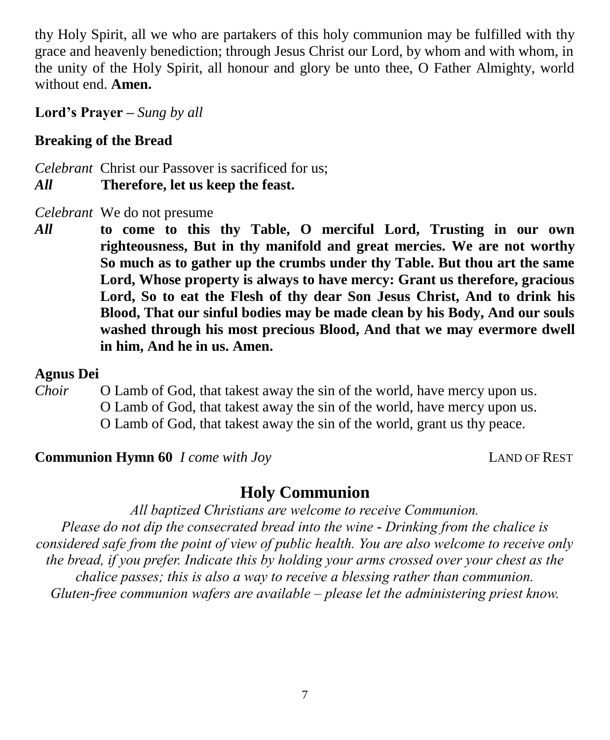thy Holy Spirit, all we who are partakers of this holy communion may be fulfilled with thy grace and heavenly benediction; through Jesus Christ our Lord, by whom and with whom, in the unity of the Holy Spirit, all honour and glory be unto thee, O Father Almighty, world without end. **Amen.**

**Lord's Prayer –** *Sung by all*

## **Breaking of the Bread**

*Celebrant* Christ our Passover is sacrificed for us; *All* **Therefore, let us keep the feast.**

*Celebrant* We do not presume

*All* **to come to this thy Table, O merciful Lord, Trusting in our own righteousness, But in thy manifold and great mercies. We are not worthy So much as to gather up the crumbs under thy Table. But thou art the same Lord, Whose property is always to have mercy: Grant us therefore, gracious Lord, So to eat the Flesh of thy dear Son Jesus Christ, And to drink his Blood, That our sinful bodies may be made clean by his Body, And our souls washed through his most precious Blood, And that we may evermore dwell in him, And he in us. Amen.**

### **Agnus Dei**

*Choir* O Lamb of God, that takest away the sin of the world, have mercy upon us. O Lamb of God, that takest away the sin of the world, have mercy upon us. O Lamb of God, that takest away the sin of the world, grant us thy peace.

**Communion Hymn 60** *I come with Joy* **LAND OF REST** 

## **Holy Communion**

*All baptized Christians are welcome to receive Communion. Please do not dip the consecrated bread into the wine - Drinking from the chalice is considered safe from the point of view of public health. You are also welcome to receive only the bread, if you prefer. Indicate this by holding your arms crossed over your chest as the chalice passes; this is also a way to receive a blessing rather than communion. Gluten-free communion wafers are available – please let the administering priest know.*